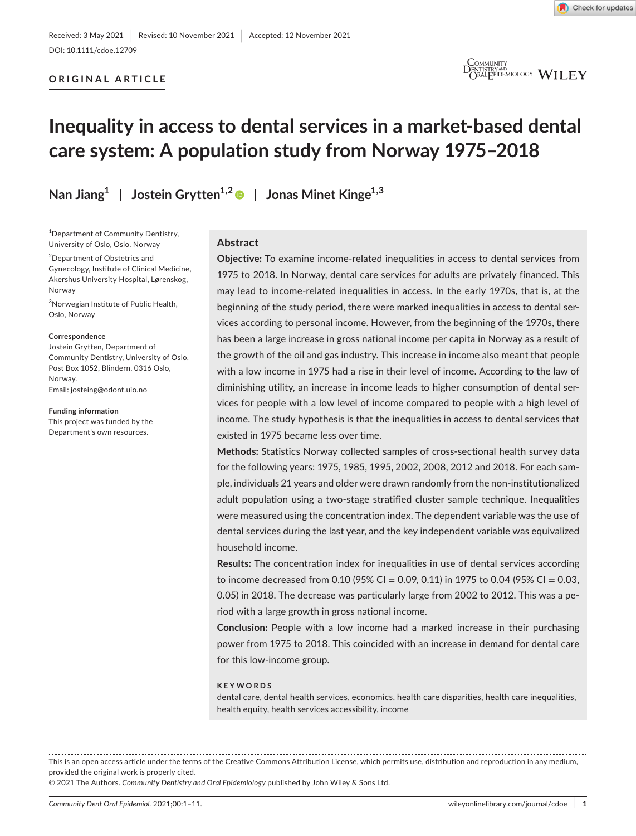### **ORIGINAL ARTICLE**



 $\bigcirc_{\text{DRALEPIDEMOLOGY}}^{\text{COMMLNITY}} \mathbf{WILEY}$ 

## **Inequality in access to dental services in a market-based dental care system: A population study from Norway 1975–2018**

**Nan Jiang1** | **Jostein Grytten1,[2](https://orcid.org/0000-0002-7946-6385)** | **Jonas Minet Kinge1,3**

1 Department of Community Dentistry, University of Oslo, Oslo, Norway

<sup>2</sup>Department of Obstetrics and Gynecology, Institute of Clinical Medicine, Akershus University Hospital, Lørenskog, Norway

3 Norwegian Institute of Public Health, Oslo, Norway

#### **Correspondence**

Jostein Grytten, Department of Community Dentistry, University of Oslo, Post Box 1052, Blindern, 0316 Oslo, Norway. Email: [josteing@odont.uio.no](mailto:josteing@odont.uio.no)

**Funding information** This project was funded by the Department's own resources.

#### **Abstract**

**Objective:** To examine income-related inequalities in access to dental services from 1975 to 2018. In Norway, dental care services for adults are privately financed. This may lead to income-related inequalities in access. In the early 1970s, that is, at the beginning of the study period, there were marked inequalities in access to dental services according to personal income. However, from the beginning of the 1970s, there has been a large increase in gross national income per capita in Norway as a result of the growth of the oil and gas industry. This increase in income also meant that people with a low income in 1975 had a rise in their level of income. According to the law of diminishing utility, an increase in income leads to higher consumption of dental services for people with a low level of income compared to people with a high level of income. The study hypothesis is that the inequalities in access to dental services that existed in 1975 became less over time.

**Methods:** Statistics Norway collected samples of cross-sectional health survey data for the following years: 1975, 1985, 1995, 2002, 2008, 2012 and 2018. For each sample, individuals 21 years and older were drawn randomly from the non-institutionalized adult population using a two-stage stratified cluster sample technique. Inequalities were measured using the concentration index. The dependent variable was the use of dental services during the last year, and the key independent variable was equivalized household income.

**Results:** The concentration index for inequalities in use of dental services according to income decreased from 0.10 (95% CI = 0.09, 0.11) in 1975 to 0.04 (95% CI = 0.03, 0.05) in 2018. The decrease was particularly large from 2002 to 2012. This was a period with a large growth in gross national income.

**Conclusion:** People with a low income had a marked increase in their purchasing power from 1975 to 2018. This coincided with an increase in demand for dental care for this low-income group.

#### **KEYWORDS**

dental care, dental health services, economics, health care disparities, health care inequalities, health equity, health services accessibility, income

This is an open access article under the terms of the [Creative Commons Attribution](http://creativecommons.org/licenses/by/4.0/) License, which permits use, distribution and reproduction in any medium, provided the original work is properly cited.

© 2021 The Authors. *Community Dentistry and Oral Epidemiology* published by John Wiley & Sons Ltd.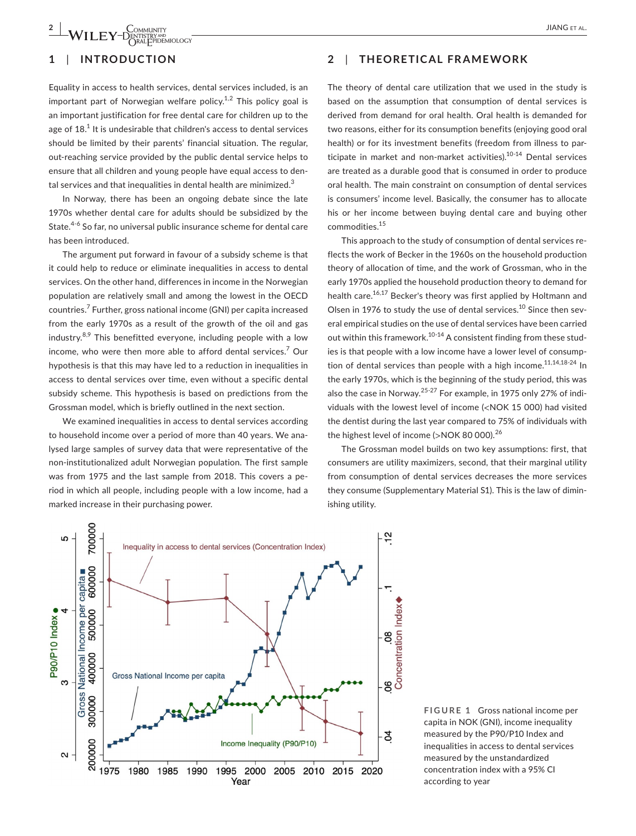## **1**  | **INTRODUCTION**

Equality in access to health services, dental services included, is an important part of Norwegian welfare policy.<sup>1,2</sup> This policy goal is an important justification for free dental care for children up to the age of  $18<sup>1</sup>$  It is undesirable that children's access to dental services should be limited by their parents' financial situation. The regular, out-reaching service provided by the public dental service helps to ensure that all children and young people have equal access to dental services and that inequalities in dental health are minimized.<sup>3</sup>

In Norway, there has been an ongoing debate since the late 1970s whether dental care for adults should be subsidized by the State.<sup>4-6</sup> So far, no universal public insurance scheme for dental care has been introduced.

The argument put forward in favour of a subsidy scheme is that it could help to reduce or eliminate inequalities in access to dental services. On the other hand, differences in income in the Norwegian population are relatively small and among the lowest in the OECD countries.<sup>7</sup> Further, gross national income (GNI) per capita increased from the early 1970s as a result of the growth of the oil and gas industry. $8.9$  This benefitted everyone, including people with a low income, who were then more able to afford dental services.<sup>7</sup> Our hypothesis is that this may have led to a reduction in inequalities in access to dental services over time, even without a specific dental subsidy scheme. This hypothesis is based on predictions from the Grossman model, which is briefly outlined in the next section.

We examined inequalities in access to dental services according to household income over a period of more than 40 years. We analysed large samples of survey data that were representative of the non-institutionalized adult Norwegian population. The first sample was from 1975 and the last sample from 2018. This covers a period in which all people, including people with a low income, had a marked increase in their purchasing power.

## **2**  | **THEORETICAL FRAMEWORK**

The theory of dental care utilization that we used in the study is based on the assumption that consumption of dental services is derived from demand for oral health. Oral health is demanded for two reasons, either for its consumption benefits (enjoying good oral health) or for its investment benefits (freedom from illness to participate in market and non-market activities).<sup>10-14</sup> Dental services are treated as a durable good that is consumed in order to produce oral health. The main constraint on consumption of dental services is consumers' income level. Basically, the consumer has to allocate his or her income between buying dental care and buying other commodities.15

This approach to the study of consumption of dental services reflects the work of Becker in the 1960s on the household production theory of allocation of time, and the work of Grossman, who in the early 1970s applied the household production theory to demand for health care.<sup>16,17</sup> Becker's theory was first applied by Holtmann and Olsen in 1976 to study the use of dental services.<sup>10</sup> Since then several empirical studies on the use of dental services have been carried out within this framework.<sup>10-14</sup> A consistent finding from these studies is that people with a low income have a lower level of consumption of dental services than people with a high income. $11,14,18-24$  In the early 1970s, which is the beginning of the study period, this was also the case in Norway.25-27 For example, in 1975 only 27% of individuals with the lowest level of income (<NOK 15 000) had visited the dentist during the last year compared to 75% of individuals with the highest level of income (>NOK 80 000).<sup>26</sup>

The Grossman model builds on two key assumptions: first, that consumers are utility maximizers, second, that their marginal utility from consumption of dental services decreases the more services they consume (Supplementary Material S1). This is the law of diminishing utility.



**FIGURE 1** Gross national income per capita in NOK (GNI), income inequality measured by the P90/P10 Index and inequalities in access to dental services measured by the unstandardized concentration index with a 95% CI according to year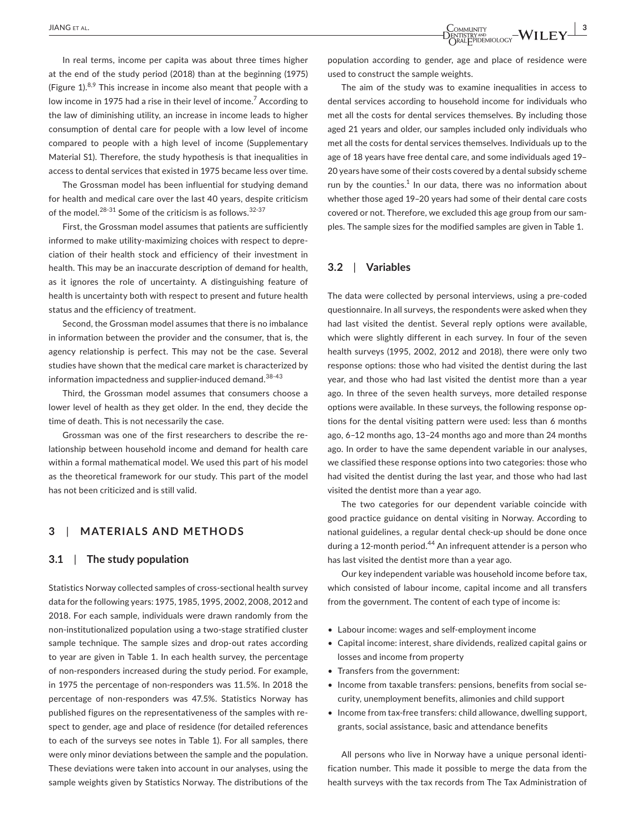In real terms, income per capita was about three times higher at the end of the study period (2018) than at the beginning (1975) (Figure 1). $8,9$  This increase in income also meant that people with a low income in 1975 had a rise in their level of income.<sup>7</sup> According to the law of diminishing utility, an increase in income leads to higher consumption of dental care for people with a low level of income compared to people with a high level of income (Supplementary Material S1). Therefore, the study hypothesis is that inequalities in access to dental services that existed in 1975 became less over time.

The Grossman model has been influential for studying demand for health and medical care over the last 40 years, despite criticism of the model. $28-31$  Some of the criticism is as follows.  $32-37$ 

First, the Grossman model assumes that patients are sufficiently informed to make utility-maximizing choices with respect to depreciation of their health stock and efficiency of their investment in health. This may be an inaccurate description of demand for health, as it ignores the role of uncertainty. A distinguishing feature of health is uncertainty both with respect to present and future health status and the efficiency of treatment.

Second, the Grossman model assumes that there is no imbalance in information between the provider and the consumer, that is, the agency relationship is perfect. This may not be the case. Several studies have shown that the medical care market is characterized by information impactedness and supplier-induced demand.<sup>38-43</sup>

Third, the Grossman model assumes that consumers choose a lower level of health as they get older. In the end, they decide the time of death. This is not necessarily the case.

Grossman was one of the first researchers to describe the relationship between household income and demand for health care within a formal mathematical model. We used this part of his model as the theoretical framework for our study. This part of the model has not been criticized and is still valid.

## **3**  | **MATERIALS AND METHODS**

#### **3.1**  | **The study population**

Statistics Norway collected samples of cross-sectional health survey data for the following years: 1975, 1985, 1995, 2002, 2008, 2012 and 2018. For each sample, individuals were drawn randomly from the non-institutionalized population using a two-stage stratified cluster sample technique. The sample sizes and drop-out rates according to year are given in Table 1. In each health survey, the percentage of non-responders increased during the study period. For example, in 1975 the percentage of non-responders was 11.5%. In 2018 the percentage of non-responders was 47.5%. Statistics Norway has published figures on the representativeness of the samples with respect to gender, age and place of residence (for detailed references to each of the surveys see notes in Table 1). For all samples, there were only minor deviations between the sample and the population. These deviations were taken into account in our analyses, using the sample weights given by Statistics Norway. The distributions of the

population according to gender, age and place of residence were used to construct the sample weights.

The aim of the study was to examine inequalities in access to dental services according to household income for individuals who met all the costs for dental services themselves. By including those aged 21 years and older, our samples included only individuals who met all the costs for dental services themselves. Individuals up to the age of 18 years have free dental care, and some individuals aged 19– 20 years have some of their costs covered by a dental subsidy scheme run by the counties. $1$  In our data, there was no information about whether those aged 19–20 years had some of their dental care costs covered or not. Therefore, we excluded this age group from our samples. The sample sizes for the modified samples are given in Table 1.

### **3.2**  | **Variables**

The data were collected by personal interviews, using a pre-coded questionnaire. In all surveys, the respondents were asked when they had last visited the dentist. Several reply options were available, which were slightly different in each survey. In four of the seven health surveys (1995, 2002, 2012 and 2018), there were only two response options: those who had visited the dentist during the last year, and those who had last visited the dentist more than a year ago. In three of the seven health surveys, more detailed response options were available. In these surveys, the following response options for the dental visiting pattern were used: less than 6 months ago, 6–12 months ago, 13–24 months ago and more than 24 months ago. In order to have the same dependent variable in our analyses, we classified these response options into two categories: those who had visited the dentist during the last year, and those who had last visited the dentist more than a year ago.

The two categories for our dependent variable coincide with good practice guidance on dental visiting in Norway. According to national guidelines, a regular dental check-up should be done once during a 12-month period.<sup>44</sup> An infrequent attender is a person who has last visited the dentist more than a year ago.

Our key independent variable was household income before tax, which consisted of labour income, capital income and all transfers from the government. The content of each type of income is:

- Labour income: wages and self-employment income
- Capital income: interest, share dividends, realized capital gains or losses and income from property
- Transfers from the government:
- Income from taxable transfers: pensions, benefits from social security, unemployment benefits, alimonies and child support
- Income from tax-free transfers: child allowance, dwelling support, grants, social assistance, basic and attendance benefits

All persons who live in Norway have a unique personal identification number. This made it possible to merge the data from the health surveys with the tax records from The Tax Administration of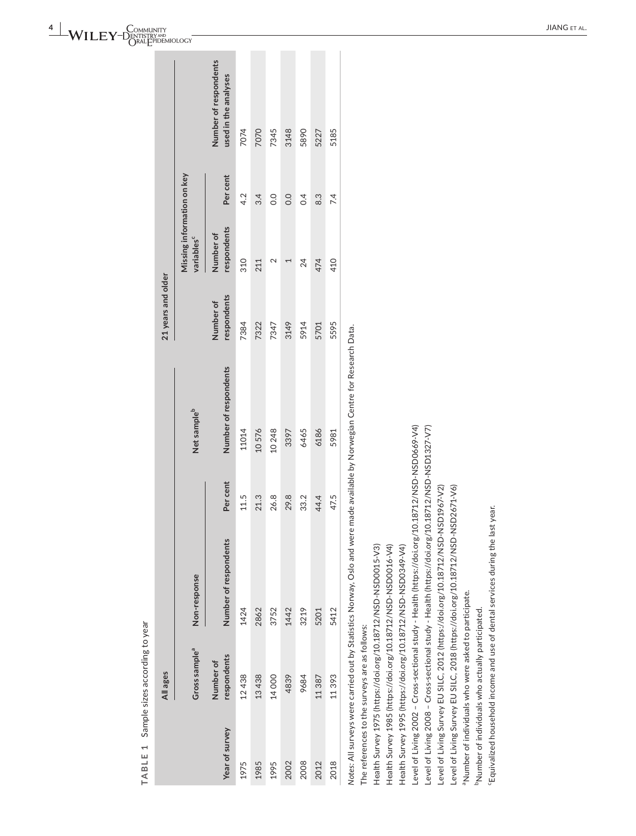TABLE 1 Sample sizes according to year **TABLE 1** Sample sizes according to year

|                | All ages                  |                                                                                                                              |          |                         | 21 years and older       |                                                      |                  |                                               |
|----------------|---------------------------|------------------------------------------------------------------------------------------------------------------------------|----------|-------------------------|--------------------------|------------------------------------------------------|------------------|-----------------------------------------------|
|                | Gross sample <sup>a</sup> | Non-response                                                                                                                 |          | Net sample <sup>b</sup> |                          | Missing information on key<br>variables <sup>c</sup> |                  |                                               |
| Year of survey | respondents<br>Number of  | Number of respondents                                                                                                        | Per cent | Number of respondents   | respondents<br>Number of | respondents<br>Number of                             | Per cent         | Number of respondents<br>used in the analyses |
| 1975           | 12438                     | 1424                                                                                                                         | 11.5     | 11014                   | 7384                     | 310                                                  | 4.2              | 7074                                          |
| 1985           | 13438                     | 2862                                                                                                                         | 21.3     | 10576                   | 7322                     | 211                                                  | 3.4              | 7070                                          |
| 1995           | 14000                     | 3752                                                                                                                         | 26.8     | 10 248                  | 7347                     | 2                                                    | O.O              | 7345                                          |
| 2002           | 4839                      | 1442                                                                                                                         | 29.8     | 3397                    | 3149                     |                                                      | 0.0              | 3148                                          |
| 2008           | 9684                      | 3219                                                                                                                         | 33.2     | 6465                    | 5914                     | 24                                                   | $\overline{0.4}$ | 5890                                          |
| 2012           | 11387                     | 5201                                                                                                                         | 44.4     | 6186                    | 5701                     | 474                                                  | 8.3              | 5227                                          |
| 2018           | 11393                     | 5412                                                                                                                         | 47.5     | 5981                    | 5595                     | 410                                                  | 7.4              | 5185                                          |
|                |                           | Jotes: All surveys were carried out by Statistics Norway. Oslo and were made available by Norwegian Centre for Research Data |          |                         |                          |                                                      |                  |                                               |

*Notes:* All surveys were carried out by Statistics Norway, Oslo and were made available by Norwegian Centre for Research Data. surveys

J

The references to the surveys are as follows: The references to the surveys are as follows:

Health Survey 1975 (https://doi.org/10.18712/NSD-NSD0015-V3) Health Survey 1975 [\(https://doi.org/10.18712/NSD-NSD0015-V3](https://doi.org/10.18712/NSD-NSD0015-V3))

Health Survey 1985 (https://doi.org/10.18712/NSD-NSD0016-V4) Health Survey 1985 (<https://doi.org/10.18712/NSD-NSD0016-V4>)

Health Survey 1995 (https://doi.org/10.18712/NSD-NSD0349-V4) Health Survey 1995 (<https://doi.org/10.18712/NSD-NSD0349-V4>)

Level of Living 2002 - Cross-sectional study - Health (https://doi.org/10.18712/NSD-NSD0669-V4) Level of Living 2002 – Cross-sectional study - Health [\(https://doi.org/10.18712/NSD-NSD0669-V4](https://doi.org/10.18712/NSD-NSD0669-V4))

Level of Living 2008 - Cross-sectional study - Health (https://doi.org/10.18712/NSD-NSD1327-V7) Level of Living 2008 – Cross-sectional study - Health [\(https://doi.org/10.18712/NSD-NSD1327-V7](https://doi.org/10.18712/NSD-NSD1327-V7))

Level of Living Survey EU SILC, 2012 (https://doi.org/10.18712/NSD-NSD1967-V2) Level of Living Survey EU SILC, 2012 (<https://doi.org/10.18712/NSD-NSD1967-V2>)

Level of Living Survey EU SILC, 2018 (https://doi.org/10.18712/NSD-NSD2671-V6) Level of Living Survey EU SILC, 2018 ([https://doi.org/10.18712/NSD-NSD2671-V6\)](https://doi.org/10.18712/NSD-NSD2671-V6)

<sup>a</sup>Number of individuals who were asked to participate. aNumber of individuals who were asked to participate.

<sup>b</sup>Number of individuals who actually participated. bNumber of individuals who actually participated.

"Equivalized household income and use of dental services during the last year. cEquivalized household income and use of dental services during the last year.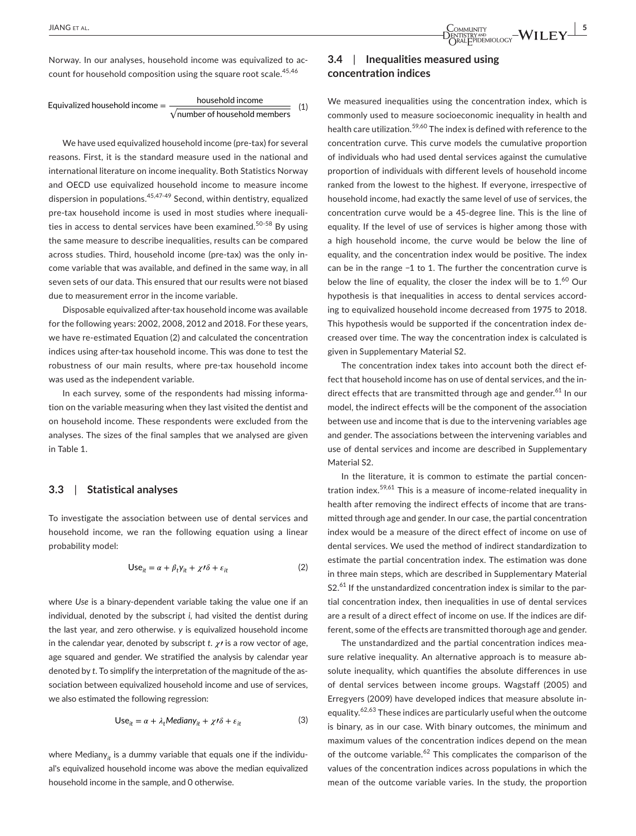Norway. In our analyses, household income was equivalized to account for household composition using the square root scale.  $45,46$ 

Equivalized household income = 
$$
\frac{\text{household income}}{\sqrt{\text{number of household members}}}
$$
 (1)

We have used equivalized household income (pre-tax) for several reasons. First, it is the standard measure used in the national and international literature on income inequality. Both Statistics Norway and OECD use equivalized household income to measure income dispersion in populations.  $45,47-49$  Second, within dentistry, equalized pre-tax household income is used in most studies where inequalities in access to dental services have been examined.<sup>50-58</sup> By using the same measure to describe inequalities, results can be compared across studies. Third, household income (pre-tax) was the only income variable that was available, and defined in the same way, in all seven sets of our data. This ensured that our results were not biased due to measurement error in the income variable.

Disposable equivalized after-tax household income was available for the following years: 2002, 2008, 2012 and 2018. For these years, we have re-estimated Equation (2) and calculated the concentration indices using after-tax household income. This was done to test the robustness of our main results, where pre-tax household income was used as the independent variable.

In each survey, some of the respondents had missing information on the variable measuring when they last visited the dentist and on household income. These respondents were excluded from the analyses. The sizes of the final samples that we analysed are given in Table 1.

#### **3.3**  | **Statistical analyses**

To investigate the association between use of dental services and household income, we ran the following equation using a linear probability model:

$$
Use_{it} = \alpha + \beta_t y_{it} + \chi \prime \delta + \varepsilon_{it}
$$
 (2)

where *Use* is a binary-dependent variable taking the value one if an individual, denoted by the subscript *i*, had visited the dentist during the last year, and zero otherwise. *y* is equivalized household income in the calendar year, denoted by subscript  $t$ .  $\chi$ <sup>*i*</sup> is a row vector of age, age squared and gender. We stratified the analysis by calendar year denoted by *t*. To simplify the interpretation of the magnitude of the association between equivalized household income and use of services, we also estimated the following regression:

$$
Use_{it} = \alpha + \lambda_t Median y_{it} + \chi t \delta + \varepsilon_{it}
$$
 (3)

where Mediany<sub>it</sub> is a dummy variable that equals one if the individual's equivalized household income was above the median equivalized household income in the sample, and 0 otherwise.

## **3.4**  | **Inequalities measured using concentration indices**

We measured inequalities using the concentration index, which is commonly used to measure socioeconomic inequality in health and health care utilization.59,60 The index is defined with reference to the concentration curve. This curve models the cumulative proportion of individuals who had used dental services against the cumulative proportion of individuals with different levels of household income ranked from the lowest to the highest. If everyone, irrespective of household income, had exactly the same level of use of services, the concentration curve would be a 45-degree line. This is the line of equality. If the level of use of services is higher among those with a high household income, the curve would be below the line of equality, and the concentration index would be positive. The index can be in the range −1 to 1. The further the concentration curve is below the line of equality, the closer the index will be to  $1.60$  Our hypothesis is that inequalities in access to dental services according to equivalized household income decreased from 1975 to 2018. This hypothesis would be supported if the concentration index decreased over time. The way the concentration index is calculated is given in Supplementary Material S2.

The concentration index takes into account both the direct effect that household income has on use of dental services, and the indirect effects that are transmitted through age and gender. $61$  In our model, the indirect effects will be the component of the association between use and income that is due to the intervening variables age and gender. The associations between the intervening variables and use of dental services and income are described in Supplementary Material S2.

In the literature, it is common to estimate the partial concentration index.59,61 This is a measure of income-related inequality in health after removing the indirect effects of income that are transmitted through age and gender. In our case, the partial concentration index would be a measure of the direct effect of income on use of dental services. We used the method of indirect standardization to estimate the partial concentration index. The estimation was done in three main steps, which are described in Supplementary Material  $S2<sup>61</sup>$  If the unstandardized concentration index is similar to the partial concentration index, then inequalities in use of dental services are a result of a direct effect of income on use. If the indices are different, some of the effects are transmitted thorough age and gender.

The unstandardized and the partial concentration indices measure relative inequality. An alternative approach is to measure absolute inequality, which quantifies the absolute differences in use of dental services between income groups. Wagstaff (2005) and Erregyers (2009) have developed indices that measure absolute inequality.62,63 These indices are particularly useful when the outcome is binary, as in our case. With binary outcomes, the minimum and maximum values of the concentration indices depend on the mean of the outcome variable. $62$  This complicates the comparison of the values of the concentration indices across populations in which the mean of the outcome variable varies. In the study, the proportion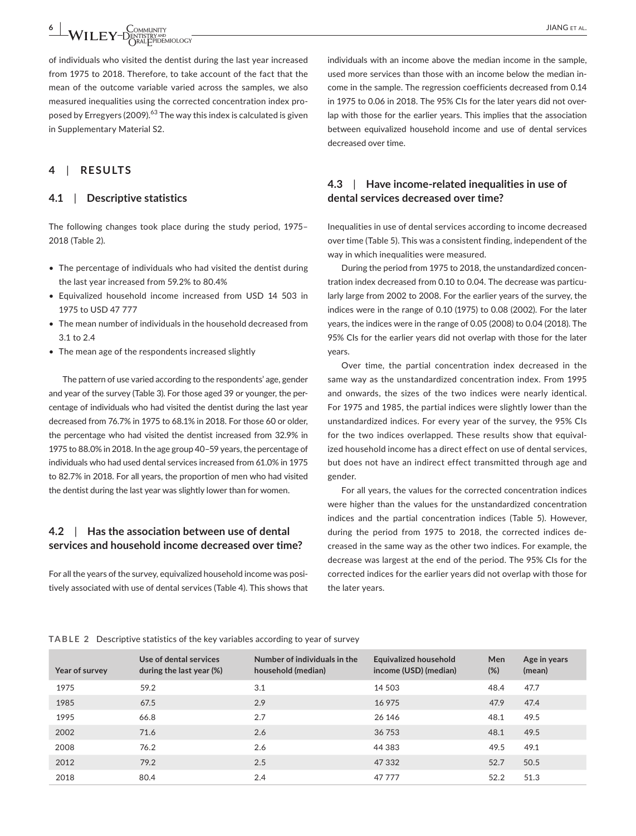**6 | WILEY-DENTISTRY AND COMMUNITY**<br> **WILEY-DENTISTRY AND CONDUCTS** 

of individuals who visited the dentist during the last year increased from 1975 to 2018. Therefore, to take account of the fact that the mean of the outcome variable varied across the samples, we also measured inequalities using the corrected concentration index proposed by Erregyers (2009).<sup>63</sup> The way this index is calculated is given in Supplementary Material S2.

## **4**  | **RESULTS**

## **4.1**  | **Descriptive statistics**

The following changes took place during the study period, 1975– 2018 (Table 2).

- The percentage of individuals who had visited the dentist during the last year increased from 59.2% to 80.4%
- Equivalized household income increased from USD 14 503 in 1975 to USD 47 777
- The mean number of individuals in the household decreased from 3.1 to 2.4
- The mean age of the respondents increased slightly

The pattern of use varied according to the respondents' age, gender and year of the survey (Table 3). For those aged 39 or younger, the percentage of individuals who had visited the dentist during the last year decreased from 76.7% in 1975 to 68.1% in 2018. For those 60 or older, the percentage who had visited the dentist increased from 32.9% in 1975 to 88.0% in 2018. In the age group 40–59 years, the percentage of individuals who had used dental services increased from 61.0% in 1975 to 82.7% in 2018. For all years, the proportion of men who had visited the dentist during the last year was slightly lower than for women.

## **4.2**  | **Has the association between use of dental services and household income decreased over time?**

For all the years of the survey, equivalized household income was positively associated with use of dental services (Table 4). This shows that

## **4.3**  | **Have income-related inequalities in use of dental services decreased over time?**

Inequalities in use of dental services according to income decreased over time (Table 5). This was a consistent finding, independent of the way in which inequalities were measured.

During the period from 1975 to 2018, the unstandardized concentration index decreased from 0.10 to 0.04. The decrease was particularly large from 2002 to 2008. For the earlier years of the survey, the indices were in the range of 0.10 (1975) to 0.08 (2002). For the later years, the indices were in the range of 0.05 (2008) to 0.04 (2018). The 95% CIs for the earlier years did not overlap with those for the later years.

Over time, the partial concentration index decreased in the same way as the unstandardized concentration index. From 1995 and onwards, the sizes of the two indices were nearly identical. For 1975 and 1985, the partial indices were slightly lower than the unstandardized indices. For every year of the survey, the 95% CIs for the two indices overlapped. These results show that equivalized household income has a direct effect on use of dental services, but does not have an indirect effect transmitted through age and gender.

For all years, the values for the corrected concentration indices were higher than the values for the unstandardized concentration indices and the partial concentration indices (Table 5). However, during the period from 1975 to 2018, the corrected indices decreased in the same way as the other two indices. For example, the decrease was largest at the end of the period. The 95% CIs for the corrected indices for the earlier years did not overlap with those for the later years.

#### **TABLE 2** Descriptive statistics of the key variables according to year of survey

| Year of survey | Use of dental services<br>during the last year $(\%)$ | Number of individuals in the<br>household (median) | <b>Equivalized household</b><br>income (USD) (median) | Men<br>(%) | Age in years<br>(mean) |
|----------------|-------------------------------------------------------|----------------------------------------------------|-------------------------------------------------------|------------|------------------------|
| 1975           | 59.2                                                  | 3.1                                                | 14 503                                                | 48.4       | 47.7                   |
| 1985           | 67.5                                                  | 2.9                                                | 16 975                                                | 47.9       | 47.4                   |
| 1995           | 66.8                                                  | 2.7                                                | 26 14 6                                               | 48.1       | 49.5                   |
| 2002           | 71.6                                                  | 2.6                                                | 36 753                                                | 48.1       | 49.5                   |
| 2008           | 76.2                                                  | 2.6                                                | 44 3 8 3                                              | 49.5       | 49.1                   |
| 2012           | 79.2                                                  | 2.5                                                | 47 332                                                | 52.7       | 50.5                   |
| 2018           | 80.4                                                  | 2.4                                                | 47777                                                 | 52.2       | 51.3                   |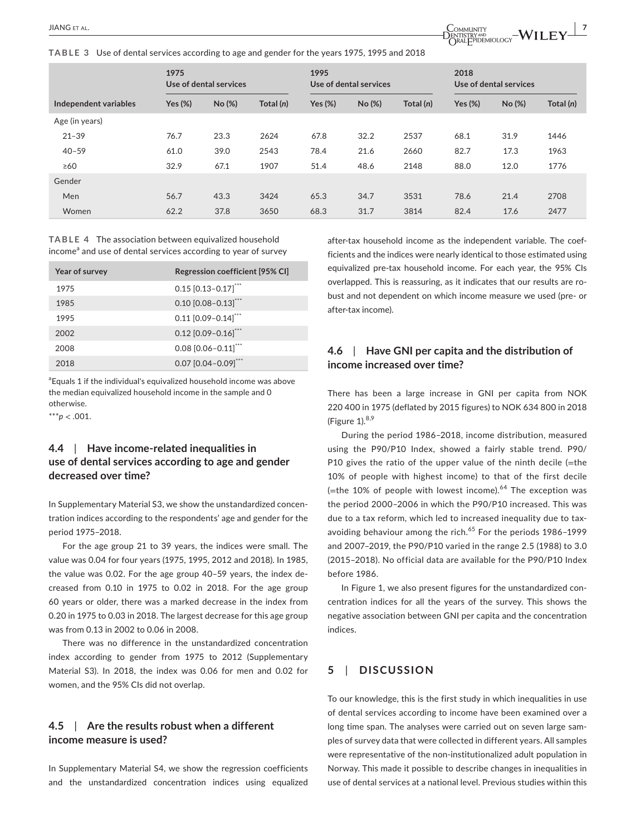**TABLE 3** Use of dental services according to age and gender for the years 1975, 1995 and 2018



|                       | 1975<br>Use of dental services |        |             | 1995<br>Use of dental services |        | 2018<br>Use of dental services |            |       |             |
|-----------------------|--------------------------------|--------|-------------|--------------------------------|--------|--------------------------------|------------|-------|-------------|
| Independent variables | Yes $(\%)$                     | No (%) | Total $(n)$ | Yes $(\%)$                     | No (%) | Total (n)                      | Yes $(\%)$ | No(%) | Total $(n)$ |
| Age (in years)        |                                |        |             |                                |        |                                |            |       |             |
| $21 - 39$             | 76.7                           | 23.3   | 2624        | 67.8                           | 32.2   | 2537                           | 68.1       | 31.9  | 1446        |
| $40 - 59$             | 61.0                           | 39.0   | 2543        | 78.4                           | 21.6   | 2660                           | 82.7       | 17.3  | 1963        |
| $\geq 60$             | 32.9                           | 67.1   | 1907        | 51.4                           | 48.6   | 2148                           | 88.0       | 12.0  | 1776        |
| Gender                |                                |        |             |                                |        |                                |            |       |             |
| Men                   | 56.7                           | 43.3   | 3424        | 65.3                           | 34.7   | 3531                           | 78.6       | 21.4  | 2708        |
| Women                 | 62.2                           | 37.8   | 3650        | 68.3                           | 31.7   | 3814                           | 82.4       | 17.6  | 2477        |

**TABLE 4** The association between equivalized household income<sup>a</sup> and use of dental services according to year of survey

| Year of survey | Regression coefficient [95% CI]       |
|----------------|---------------------------------------|
| 1975           | $0.15$ $[0.13 - 0.17]$ <sup>***</sup> |
| 1985           | $0.10$ $[0.08 - 0.13]$ <sup>***</sup> |
| 1995           | $0.11$ $[0.09 - 0.14]$ "              |
| 2002           | $0.12$ [0.09-0.16]***                 |
| 2008           | $0.08$ $[0.06 - 0.11]$                |
| 2018           | $0.07$ $[0.04 - 0.09]$ <sup>***</sup> |

<sup>a</sup> Equals 1 if the individual's equivalized household income was above the median equivalized household income in the sample and 0 otherwise.

\*\*\**p* < .001.

## **4.4**  | **Have income-related inequalities in use of dental services according to age and gender decreased over time?**

In Supplementary Material S3, we show the unstandardized concentration indices according to the respondents' age and gender for the period 1975–2018.

For the age group 21 to 39 years, the indices were small. The value was 0.04 for four years (1975, 1995, 2012 and 2018). In 1985, the value was 0.02. For the age group 40–59 years, the index decreased from 0.10 in 1975 to 0.02 in 2018. For the age group 60 years or older, there was a marked decrease in the index from 0.20 in 1975 to 0.03 in 2018. The largest decrease for this age group was from 0.13 in 2002 to 0.06 in 2008.

There was no difference in the unstandardized concentration index according to gender from 1975 to 2012 (Supplementary Material S3). In 2018, the index was 0.06 for men and 0.02 for women, and the 95% CIs did not overlap.

## **4.5**  | **Are the results robust when a different income measure is used?**

In Supplementary Material S4, we show the regression coefficients and the unstandardized concentration indices using equalized after-tax household income as the independent variable. The coefficients and the indices were nearly identical to those estimated using equivalized pre-tax household income. For each year, the 95% CIs overlapped. This is reassuring, as it indicates that our results are robust and not dependent on which income measure we used (pre- or after-tax income).

## **4.6**  | **Have GNI per capita and the distribution of income increased over time?**

There has been a large increase in GNI per capita from NOK 220 400 in 1975 (deflated by 2015 figures) to NOK 634 800 in 2018 (Figure  $1$ ).<sup>8,9</sup>

During the period 1986–2018, income distribution, measured using the P90/P10 Index, showed a fairly stable trend. P90/ P10 gives the ratio of the upper value of the ninth decile (=the 10% of people with highest income) to that of the first decile (=the 10% of people with lowest income).<sup>64</sup> The exception was the period 2000–2006 in which the P90/P10 increased. This was due to a tax reform, which led to increased inequality due to taxavoiding behaviour among the rich. $65$  For the periods 1986–1999 and 2007–2019, the P90/P10 varied in the range 2.5 (1988) to 3.0 (2015–2018). No official data are available for the P90/P10 Index before 1986.

In Figure 1, we also present figures for the unstandardized concentration indices for all the years of the survey. This shows the negative association between GNI per capita and the concentration indices.

## **5**  | **DISCUSSION**

To our knowledge, this is the first study in which inequalities in use of dental services according to income have been examined over a long time span. The analyses were carried out on seven large samples of survey data that were collected in different years. All samples were representative of the non-institutionalized adult population in Norway. This made it possible to describe changes in inequalities in use of dental services at a national level. Previous studies within this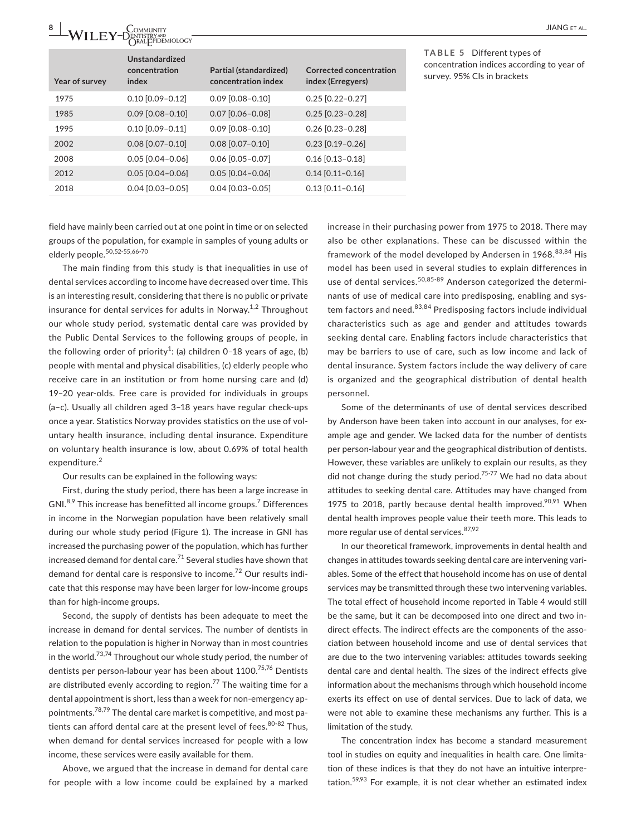| 8              | COMMUNITY<br>ENTISTRY <sup>and</sup><br>ORALF PIDEMIOLOGY |                                               |                                                     | <b>JIANG</b> ET AL                                                                                      |
|----------------|-----------------------------------------------------------|-----------------------------------------------|-----------------------------------------------------|---------------------------------------------------------------------------------------------------------|
| Year of survey | <b>Unstandardized</b><br>concentration<br>index           | Partial (standardized)<br>concentration index | <b>Corrected concentration</b><br>index (Erregyers) | TABLE 5 Different types of<br>concentration indices according to year of<br>survey. 95% Cls in brackets |
| 1975           | $0.10$ [0.09-0.12]                                        | $0.09$ $[0.08 - 0.10]$                        | $0.25$ [0.22-0.27]                                  |                                                                                                         |
| 1985           | $0.09$ [0.08-0.10]                                        | $0.07$ $[0.06 - 0.08]$                        | $0.25$ [0.23-0.28]                                  |                                                                                                         |
| 1995           | $0.10$ $[0.09 - 0.11]$                                    | $0.09$ [0.08-0.10]                            | $0.26$ [0.23-0.28]                                  |                                                                                                         |
| 2002           | $0.08$ [0.07-0.10]                                        | $0.08$ [0.07-0.10]                            | $0.23$ [0.19-0.26]                                  |                                                                                                         |
| 2008           | $0.05$ $[0.04 - 0.06]$                                    | $0.06$ $[0.05 - 0.07]$                        | $0.16$ [0.13-0.18]                                  |                                                                                                         |
| 2012           | $0.05$ [0.04-0.06]                                        | $0.05$ [0.04-0.06]                            | $0.14$ [0.11-0.16]                                  |                                                                                                         |
| 2018           | $0.04$ [0.03-0.05]                                        | $0.04$ [0.03-0.05]                            | $0.13$ [0.11-0.16]                                  |                                                                                                         |
|                |                                                           |                                               |                                                     |                                                                                                         |

field have mainly been carried out at one point in time or on selected groups of the population, for example in samples of young adults or elderly people.<sup>50,52-55,66-70</sup>

The main finding from this study is that inequalities in use of dental services according to income have decreased over time. This is an interesting result, considering that there is no public or private insurance for dental services for adults in Norway.<sup>1,2</sup> Throughout our whole study period, systematic dental care was provided by the Public Dental Services to the following groups of people, in the following order of priority $^1$ : (a) children 0–18 years of age, (b) people with mental and physical disabilities, (c) elderly people who receive care in an institution or from home nursing care and (d) 19–20 year-olds. Free care is provided for individuals in groups (a–c). Usually all children aged 3–18 years have regular check-ups once a year. Statistics Norway provides statistics on the use of voluntary health insurance, including dental insurance. Expenditure on voluntary health insurance is low, about 0.69% of total health expenditure.<sup>2</sup>

Our results can be explained in the following ways:

First, during the study period, there has been a large increase in GNI.<sup>8,9</sup> This increase has benefitted all income groups.<sup>7</sup> Differences in income in the Norwegian population have been relatively small during our whole study period (Figure 1). The increase in GNI has increased the purchasing power of the population, which has further increased demand for dental care.<sup>71</sup> Several studies have shown that demand for dental care is responsive to income.<sup>72</sup> Our results indicate that this response may have been larger for low-income groups than for high-income groups.

Second, the supply of dentists has been adequate to meet the increase in demand for dental services. The number of dentists in relation to the population is higher in Norway than in most countries in the world.<sup>73,74</sup> Throughout our whole study period, the number of dentists per person-labour year has been about 1100.<sup>75,76</sup> Dentists are distributed evenly according to region.<sup>77</sup> The waiting time for a dental appointment is short, less than a week for non-emergency appointments.78,79 The dental care market is competitive, and most patients can afford dental care at the present level of fees.  $80-82$  Thus, when demand for dental services increased for people with a low income, these services were easily available for them.

Above, we argued that the increase in demand for dental care for people with a low income could be explained by a marked

increase in their purchasing power from 1975 to 2018. There may also be other explanations. These can be discussed within the framework of the model developed by Andersen in 1968.<sup>83,84</sup> His model has been used in several studies to explain differences in use of dental services.<sup>50,85-89</sup> Anderson categorized the determinants of use of medical care into predisposing, enabling and system factors and need.<sup>83,84</sup> Predisposing factors include individual characteristics such as age and gender and attitudes towards seeking dental care. Enabling factors include characteristics that may be barriers to use of care, such as low income and lack of dental insurance. System factors include the way delivery of care is organized and the geographical distribution of dental health personnel.

Some of the determinants of use of dental services described by Anderson have been taken into account in our analyses, for example age and gender. We lacked data for the number of dentists per person-labour year and the geographical distribution of dentists. However, these variables are unlikely to explain our results, as they did not change during the study period.<sup>75-77</sup> We had no data about attitudes to seeking dental care. Attitudes may have changed from 1975 to 2018, partly because dental health improved.<sup>90,91</sup> When dental health improves people value their teeth more. This leads to more regular use of dental services. 87,92

In our theoretical framework, improvements in dental health and changes in attitudes towards seeking dental care are intervening variables. Some of the effect that household income has on use of dental services may be transmitted through these two intervening variables. The total effect of household income reported in Table 4 would still be the same, but it can be decomposed into one direct and two indirect effects. The indirect effects are the components of the association between household income and use of dental services that are due to the two intervening variables: attitudes towards seeking dental care and dental health. The sizes of the indirect effects give information about the mechanisms through which household income exerts its effect on use of dental services. Due to lack of data, we were not able to examine these mechanisms any further. This is a limitation of the study.

The concentration index has become a standard measurement tool in studies on equity and inequalities in health care. One limitation of these indices is that they do not have an intuitive interpretation.<sup>59,93</sup> For example, it is not clear whether an estimated index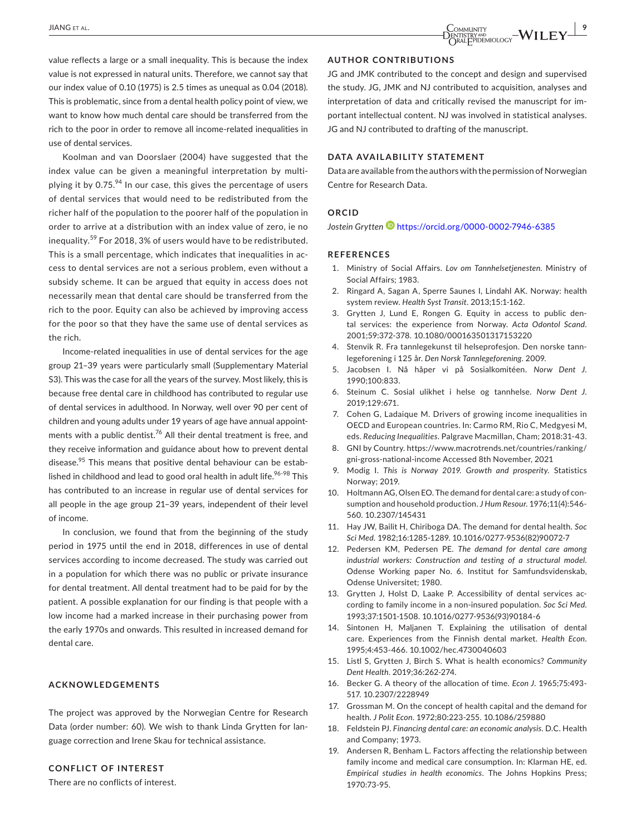value reflects a large or a small inequality. This is because the index value is not expressed in natural units. Therefore, we cannot say that our index value of 0.10 (1975) is 2.5 times as unequal as 0.04 (2018). This is problematic, since from a dental health policy point of view, we want to know how much dental care should be transferred from the rich to the poor in order to remove all income-related inequalities in use of dental services.

Koolman and van Doorslaer (2004) have suggested that the index value can be given a meaningful interpretation by multiplying it by  $0.75^{94}$  In our case, this gives the percentage of users of dental services that would need to be redistributed from the richer half of the population to the poorer half of the population in order to arrive at a distribution with an index value of zero, ie no inequality.<sup>59</sup> For 2018, 3% of users would have to be redistributed. This is a small percentage, which indicates that inequalities in access to dental services are not a serious problem, even without a subsidy scheme. It can be argued that equity in access does not necessarily mean that dental care should be transferred from the rich to the poor. Equity can also be achieved by improving access for the poor so that they have the same use of dental services as the rich.

Income-related inequalities in use of dental services for the age group 21–39 years were particularly small (Supplementary Material S3). This was the case for all the years of the survey. Most likely, this is because free dental care in childhood has contributed to regular use of dental services in adulthood. In Norway, well over 90 per cent of children and young adults under 19 years of age have annual appointments with a public dentist.<sup>76</sup> All their dental treatment is free, and they receive information and guidance about how to prevent dental disease. $95$  This means that positive dental behaviour can be established in childhood and lead to good oral health in adult life.<sup>96-98</sup> This has contributed to an increase in regular use of dental services for all people in the age group 21–39 years, independent of their level of income.

In conclusion, we found that from the beginning of the study period in 1975 until the end in 2018, differences in use of dental services according to income decreased. The study was carried out in a population for which there was no public or private insurance for dental treatment. All dental treatment had to be paid for by the patient. A possible explanation for our finding is that people with a low income had a marked increase in their purchasing power from the early 1970s and onwards. This resulted in increased demand for dental care.

#### **ACKNOWLEDGEMENTS**

The project was approved by the Norwegian Centre for Research Data (order number: 60). We wish to thank Linda Grytten for language correction and Irene Skau for technical assistance.

## **CONFLICT OF INTEREST**

There are no conflicts of interest.

#### **AUTHOR CONTRIBUTIONS**

JG and JMK contributed to the concept and design and supervised the study. JG, JMK and NJ contributed to acquisition, analyses and interpretation of data and critically revised the manuscript for important intellectual content. NJ was involved in statistical analyses. JG and NJ contributed to drafting of the manuscript.

#### **DATA AVAILABILITY STATEMENT**

Data are available from the authors with the permission of Norwegian Centre for Research Data.

#### **ORCID**

*Jostein Grytten* <https://orcid.org/0000-0002-7946-6385>

#### **REFERENCES**

- 1. Ministry of Social Affairs. *Lov om Tannhelsetjenesten*. Ministry of Social Affairs; 1983.
- 2. Ringard A, Sagan A, Sperre Saunes I, Lindahl AK. Norway: health system review. *Health Syst Transit*. 2013;15:1-162.
- 3. Grytten J, Lund E, Rongen G. Equity in access to public dental services: the experience from Norway. *Acta Odontol Scand*. 2001;59:372-378. [10.1080/000163501317153220](https://doi.org/10.1080/000163501317153220)
- 4. Stenvik R. Fra tannlegekunst til helseprofesjon. Den norske tannlegeforening i 125 år. *Den Norsk Tannlegeforening*. 2009.
- 5. Jacobsen I. Nå håper vi på Sosialkomitéen. *Norw Dent J*. 1990;100:833.
- 6. Steinum C. Sosial ulikhet i helse og tannhelse. *Norw Dent J*. 2019;129:671.
- 7. Cohen G, Ladaique M. Drivers of growing income inequalities in OECD and European countries. In: Carmo RM, Rio C, Medgyesi M, eds. *Reducing Inequalities*. Palgrave Macmillan, Cham; 2018:31-43.
- 8. GNI by Country. [https://www.macrotrends.net/countries/ranking/](https://www.macrotrends.net/countries/ranking/gni-gross-national-income) [gni-gross-national-income](https://www.macrotrends.net/countries/ranking/gni-gross-national-income) Accessed 8th November, 2021
- 9. Modig I. *This is Norway 2019. Growth and prosperity*. Statistics Norway; 2019.
- 10. Holtmann AG, Olsen EO. The demand for dental care: a study of consumption and household production. *J Hum Resour*. 1976;11(4):546- 560. [10.2307/145431](https://doi.org/10.2307/145431)
- 11. Hay JW, Bailit H, Chiriboga DA. The demand for dental health. *Soc Sci Med*. 1982;16:1285-1289. [10.1016/0277-9536\(82\)90072-7](https://doi.org/10.1016/0277-9536(82)90072-7)
- 12. Pedersen KM, Pedersen PE. *The demand for dental care among industrial workers: Construction and testing of a structural model*. Odense Working paper No. 6. Institut for Samfundsvidenskab, Odense Universitet; 1980.
- 13. Grytten J, Holst D, Laake P. Accessibility of dental services according to family income in a non-insured population. *Soc Sci Med*. 1993;37:1501-1508. [10.1016/0277-9536\(93\)90184-6](https://doi.org/10.1016/0277-9536(93)90184-6)
- 14. Sintonen H, Maljanen T. Explaining the utilisation of dental care. Experiences from the Finnish dental market. *Health Econ*. 1995;4:453-466. [10.1002/hec.4730040603](https://doi.org/10.1002/hec.4730040603)
- 15. Listl S, Grytten J, Birch S. What is health economics? *Community Dent Health*. 2019;36:262-274.
- 16. Becker G. A theory of the allocation of time. *Econ J*. 1965;75:493- 517. [10.2307/2228949](https://doi.org/10.2307/2228949)
- 17. Grossman M. On the concept of health capital and the demand for health. *J Polit Econ*. 1972;80:223-255. [10.1086/259880](https://doi.org/10.1086/259880)
- 18. Feldstein PJ. *Financing dental care: an economic analysis*. D.C. Health and Company; 1973.
- 19. Andersen R, Benham L. Factors affecting the relationship between family income and medical care consumption. In: Klarman HE, ed. *Empirical studies in health economics*. The Johns Hopkins Press; 1970:73-95.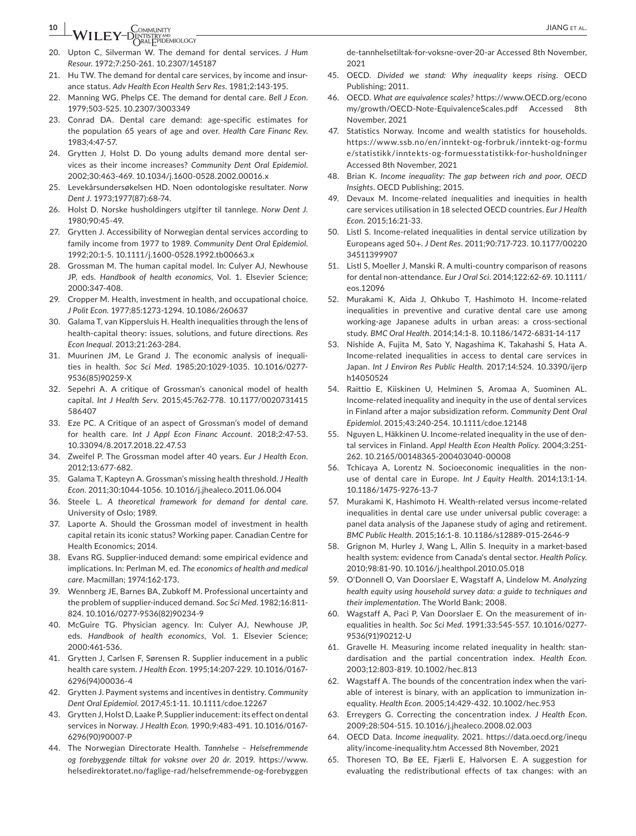# **10 <sup>|</sup>**  JIANG et al.

- 20. Upton C, Silverman W. The demand for dental services. *J Hum Resour*. 1972;7:250-261. [10.2307/145187](https://doi.org/10.2307/145187)
- 21. Hu TW. The demand for dental care services, by income and insurance status. *Adv Health Econ Health Serv Res*. 1981;2:143-195.
- 22. Manning WG, Phelps CE. The demand for dental care. *Bell J Econ*. 1979;503-525. [10.2307/3003349](https://doi.org/10.2307/3003349)
- 23. Conrad DA. Dental care demand: age-specific estimates for the population 65 years of age and over. *Health Care Financ Rev*. 1983;4:47-57.
- 24. Grytten J, Holst D. Do young adults demand more dental services as their income increases? *Community Dent Oral Epidemiol*. 2002;30:463-469. [10.1034/j.1600-0528.2002.00016.x](https://doi.org/10.1034/j.1600-0528.2002.00016.x)
- 25. Levekårsundersøkelsen HD. Noen odontologiske resultater. *Norw Dent J*. 1973;1977(87):68-74.
- 26. Holst D. Norske husholdingers utgifter til tannlege. *Norw Dent J*. 1980;90:45-49.
- 27. Grytten J. Accessibility of Norwegian dental services according to family income from 1977 to 1989. *Community Dent Oral Epidemiol*. 1992;20:1-5. [10.1111/j.1600-0528.1992.tb00663.x](https://doi.org/10.1111/j.1600-0528.1992.tb00663.x)
- 28. Grossman M. The human capital model. In: Culyer AJ, Newhouse JP, eds. *Handbook of health economics*, Vol. 1. Elsevier Science; 2000:347-408.
- 29. Cropper M. Health, investment in health, and occupational choice. *J Polit Econ*. 1977;85:1273-1294. [10.1086/260637](https://doi.org/10.1086/260637)
- 30. Galama T, van Kippersluis H. Health inequalities through the lens of health-capital theory: issues, solutions, and future directions. *Res Econ Inequal*. 2013;21:263-284.
- 31. Muurinen JM, Le Grand J. The economic analysis of inequalities in health. *Soc Sci Med*. 1985;20:1029-1035. [10.1016/0277-](https://doi.org/10.1016/0277-9536(85)90259-X) [9536\(85\)90259-X](https://doi.org/10.1016/0277-9536(85)90259-X)
- 32. Sepehri A. A critique of Grossman's canonical model of health capital. *Int J Health Serv*. 2015;45:762-778. [10.1177/0020731415](https://doi.org/10.1177/0020731415586407) [586407](https://doi.org/10.1177/0020731415586407)
- 33. Eze PC. A Critique of an aspect of Grossman's model of demand for health care. *Int J Appl Econ Financ Account*. 2018;2:47-53. [10.33094/8.2017.2018.22.47.53](https://doi.org/10.33094/8.2017.2018.22.47.53)
- 34. Zweifel P. The Grossman model after 40 years. *Eur J Health Econ*. 2012;13:677-682.
- 35. Galama T, Kapteyn A. Grossman's missing health threshold. *J Health Econ*. 2011;30:1044-1056. [10.1016/j.jhealeco.2011.06.004](https://doi.org/10.1016/j.jhealeco.2011.06.004)
- 36. Steele L. *A theoretical framework for demand for dental care*. University of Oslo; 1989.
- 37. Laporte A. Should the Grossman model of investment in health capital retain its iconic status? Working paper. Canadian Centre for Health Economics; 2014.
- 38. Evans RG. Supplier-induced demand: some empirical evidence and implications. In: Perlman M, ed. *The economics of health and medical care*. Macmillan; 1974:162-173.
- 39. Wennberg JE, Barnes BA, Zubkoff M. Professional uncertainty and the problem of supplier-induced demand. *Soc Sci Med*. 1982;16:811- 824. [10.1016/0277-9536\(82\)90234-9](https://doi.org/10.1016/0277-9536(82)90234-9)
- 40. McGuire TG. Physician agency. In: Culyer AJ, Newhouse JP, eds. *Handbook of health economics*, Vol. 1. Elsevier Science; 2000:461-536.
- 41. Grytten J, Carlsen F, Sørensen R. Supplier inducement in a public health care system. *J Health Econ*. 1995;14:207-229. [10.1016/0167-](https://doi.org/10.1016/0167-6296(94)00036-4) [6296\(94\)00036-4](https://doi.org/10.1016/0167-6296(94)00036-4)
- 42. Grytten J. Payment systems and incentives in dentistry. *Community Dent Oral Epidemiol*. 2017;45:1-11. [10.1111/cdoe.12267](https://doi.org/10.1111/cdoe.12267)
- 43. Grytten J, Holst D, Laake P. Supplier inducement: its effect on dental services in Norway. *J Health Econ*. 1990;9:483-491. [10.1016/0167-](https://doi.org/10.1016/0167-6296(90)90007-P) [6296\(90\)90007-P](https://doi.org/10.1016/0167-6296(90)90007-P)
- 44. The Norwegian Directorate Health. *Tannhelse Helsefremmende og forebyggende tiltak for voksne over 20 år*. 2019. [https://www.](https://www.helsedirektoratet.no/faglige-rad/helsefremmende-og-forebyggende-tannhelsetiltak-for-voksne-over-20-ar) [helsedirektoratet.no/faglige-rad/helsefremmende-og-forebyggen](https://www.helsedirektoratet.no/faglige-rad/helsefremmende-og-forebyggende-tannhelsetiltak-for-voksne-over-20-ar)

[de-tannhelsetiltak-for-voksne-over-20-ar](https://www.helsedirektoratet.no/faglige-rad/helsefremmende-og-forebyggende-tannhelsetiltak-for-voksne-over-20-ar) Accessed 8th November, 2021

- 45. OECD. *Divided we stand: Why inequality keeps rising*. OECD Publishing; 2011.
- 46. OECD. *What are equivalence scales?* [https://www.OECD.org/econo](https://www.OECD.org/economy/growth/OECD-Note-EquivalenceScales.pdf) [my/growth/OECD-Note-EquivalenceScales.pdf](https://www.OECD.org/economy/growth/OECD-Note-EquivalenceScales.pdf) Accessed 8th November, 2021
- 47. Statistics Norway. Income and wealth statistics for households. [https://www.ssb.no/en/inntekt-og-forbruk/inntekt-og-formu](https://www.ssb.no/en/inntekt-og-forbruk/inntekt-og-formue/statistikk/inntekts-og-formuesstatistikk-for-husholdninger) [e/statistikk/inntekts-og-formuesstatistikk-for-husholdninger](https://www.ssb.no/en/inntekt-og-forbruk/inntekt-og-formue/statistikk/inntekts-og-formuesstatistikk-for-husholdninger)  Accessed 8th November, 2021
- 48. Brian K. *Income inequality: The gap between rich and poor, OECD Insights*. OECD Publishing; 2015.
- 49. Devaux M. Income-related inequalities and inequities in health care services utilisation in 18 selected OECD countries. *Eur J Health Econ*. 2015;16:21-33.
- 50. Listl S. Income-related inequalities in dental service utilization by Europeans aged 50+. *J Dent Res*. 2011;90:717-723. [10.1177/00220](https://doi.org/10.1177/0022034511399907) [34511399907](https://doi.org/10.1177/0022034511399907)
- 51. Listl S, Moeller J, Manski R. A multi-country comparison of reasons for dental non-attendance. *Eur J Oral Sci*. 2014;122:62-69. [10.1111/](https://doi.org/10.1111/eos.12096) [eos.12096](https://doi.org/10.1111/eos.12096)
- 52. Murakami K, Aida J, Ohkubo T, Hashimoto H. Income-related inequalities in preventive and curative dental care use among working-age Japanese adults in urban areas: a cross-sectional study. *BMC Oral Health*. 2014;14:1-8. [10.1186/1472-6831-14-117](https://doi.org/10.1186/1472-6831-14-117)
- 53. Nishide A, Fujita M, Sato Y, Nagashima K, Takahashi S, Hata A. Income-related inequalities in access to dental care services in Japan. *Int J Environ Res Public Health*. 2017;14:524. [10.3390/ijerp](https://doi.org/10.3390/ijerph14050524) [h14050524](https://doi.org/10.3390/ijerph14050524)
- 54. Raittio E, Kiiskinen U, Helminen S, Aromaa A, Suominen AL. Income-related inequality and inequity in the use of dental services in Finland after a major subsidization reform. *Community Dent Oral Epidemiol*. 2015;43:240-254. [10.1111/cdoe.12148](https://doi.org/10.1111/cdoe.12148)
- 55. Nguyen L, Häkkinen U. Income-related inequality in the use of dental services in Finland. *Appl Health Econ Health Policy*. 2004;3:251- 262. [10.2165/00148365-200403040-00008](https://doi.org/10.2165/00148365-200403040-00008)
- 56. Tchicaya A, Lorentz N. Socioeconomic inequalities in the nonuse of dental care in Europe. *Int J Equity Health*. 2014;13:1-14. [10.1186/1475-9276-13-7](https://doi.org/10.1186/1475-9276-13-7)
- 57. Murakami K, Hashimoto H. Wealth-related versus income-related inequalities in dental care use under universal public coverage: a panel data analysis of the Japanese study of aging and retirement. *BMC Public Health*. 2015;16:1-8. [10.1186/s12889-015-2646-9](https://doi.org/10.1186/s12889-015-2646-9)
- 58. Grignon M, Hurley J, Wang L, Allin S. Inequity in a market-based health system: evidence from Canada's dental sector. *Health Policy*. 2010;98:81-90. [10.1016/j.healthpol.2010.05.018](https://doi.org/10.1016/j.healthpol.2010.05.018)
- 59. O'Donnell O, Van Doorslaer E, Wagstaff A, Lindelow M. *Analyzing health equity using household survey data: a guide to techniques and their implementation*. The World Bank; 2008.
- 60. Wagstaff A, Paci P, Van Doorslaer E. On the measurement of inequalities in health. *Soc Sci Med*. 1991;33:545-557. [10.1016/0277-](https://doi.org/10.1016/0277-9536(91)90212-U) [9536\(91\)90212-U](https://doi.org/10.1016/0277-9536(91)90212-U)
- 61. Gravelle H. Measuring income related inequality in health: standardisation and the partial concentration index. *Health Econ*. 2003;12:803-819. [10.1002/hec.813](https://doi.org/10.1002/hec.813)
- 62. Wagstaff A. The bounds of the concentration index when the variable of interest is binary, with an application to immunization inequality. *Health Econ*. 2005;14:429-432. [10.1002/hec.953](https://doi.org/10.1002/hec.953)
- 63. Erreygers G. Correcting the concentration index. *J Health Econ*. 2009;28:504-515. [10.1016/j.jhealeco.2008.02.003](https://doi.org/10.1016/j.jhealeco.2008.02.003)
- 64. OECD Data. *Income inequality*. 2021. [https://data.oecd.org/inequ](https://data.oecd.org/inequality/income-inequality.htm) [ality/income-inequality.htm](https://data.oecd.org/inequality/income-inequality.htm) Accessed 8th November, 2021
- 65. Thoresen TO, Bø EE, Fjærli E, Halvorsen E. A suggestion for evaluating the redistributional effects of tax changes: with an